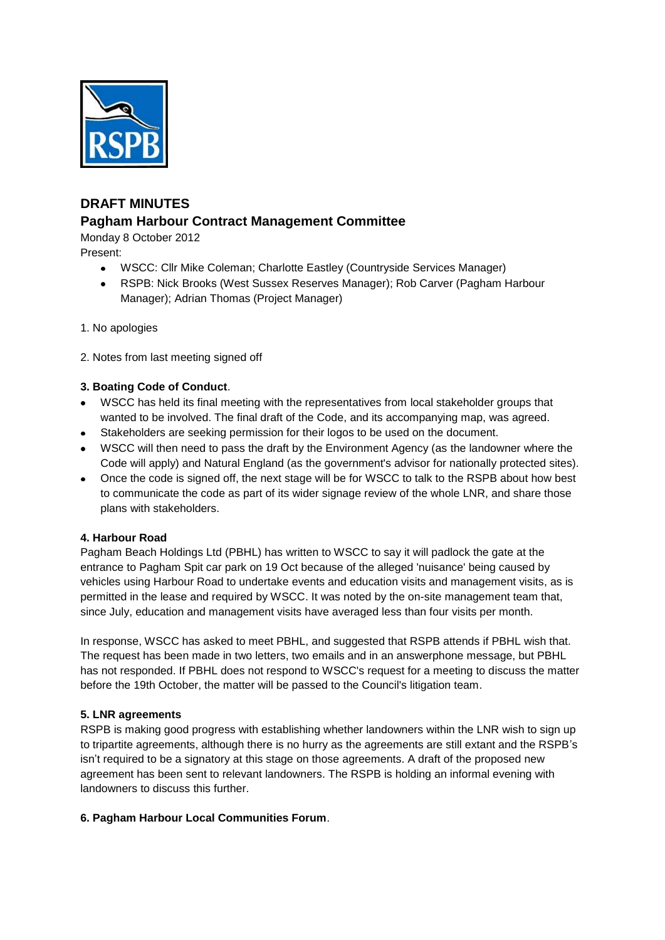

# **DRAFT MINUTES Pagham Harbour Contract Management Committee**

Monday 8 October 2012 Present:

- WSCC: Cllr Mike Coleman; Charlotte Eastley (Countryside Services Manager)
- RSPB: Nick Brooks (West Sussex Reserves Manager); Rob Carver (Pagham Harbour  $\bullet$ Manager); Adrian Thomas (Project Manager)
- 1. No apologies
- 2. Notes from last meeting signed off

# **3. Boating Code of Conduct**.

- WSCC has held its final meeting with the representatives from local stakeholder groups that wanted to be involved. The final draft of the Code, and its accompanying map, was agreed.
- Stakeholders are seeking permission for their logos to be used on the document.
- WSCC will then need to pass the draft by the Environment Agency (as the landowner where the Code will apply) and Natural England (as the government's advisor for nationally protected sites).
- Once the code is signed off, the next stage will be for WSCC to talk to the RSPB about how best to communicate the code as part of its wider signage review of the whole LNR, and share those plans with stakeholders.

### **4. Harbour Road**

Pagham Beach Holdings Ltd (PBHL) has written to WSCC to say it will padlock the gate at the entrance to Pagham Spit car park on 19 Oct because of the alleged 'nuisance' being caused by vehicles using Harbour Road to undertake events and education visits and management visits, as is permitted in the lease and required by WSCC. It was noted by the on-site management team that, since July, education and management visits have averaged less than four visits per month.

In response, WSCC has asked to meet PBHL, and suggested that RSPB attends if PBHL wish that. The request has been made in two letters, two emails and in an answerphone message, but PBHL has not responded. If PBHL does not respond to WSCC's request for a meeting to discuss the matter before the 19th October, the matter will be passed to the Council's litigation team.

### **5. LNR agreements**

RSPB is making good progress with establishing whether landowners within the LNR wish to sign up to tripartite agreements, although there is no hurry as the agreements are still extant and the RSPB's isn't required to be a signatory at this stage on those agreements. A draft of the proposed new agreement has been sent to relevant landowners. The RSPB is holding an informal evening with landowners to discuss this further.

### **6. Pagham Harbour Local Communities Forum**.